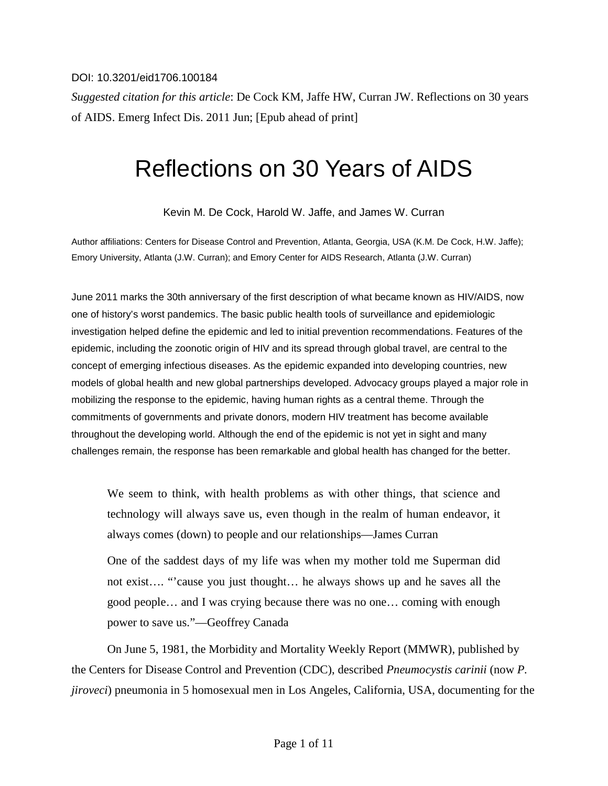DOI: 10.3201/eid1706.100184

*Suggested citation for this article*: De Cock KM, Jaffe HW, Curran JW. Reflections on 30 years of AIDS. Emerg Infect Dis. 2011 Jun; [Epub ahead of print]

# Reflections on 30 Years of AIDS

Kevin M. De Cock, Harold W. Jaffe, and James W. Curran

Author affiliations: Centers for Disease Control and Prevention, Atlanta, Georgia, USA (K.M. De Cock, H.W. Jaffe); Emory University, Atlanta (J.W. Curran); and Emory Center for AIDS Research, Atlanta (J.W. Curran)

June 2011 marks the 30th anniversary of the first description of what became known as HIV/AIDS, now one of history's worst pandemics. The basic public health tools of surveillance and epidemiologic investigation helped define the epidemic and led to initial prevention recommendations. Features of the epidemic, including the zoonotic origin of HIV and its spread through global travel, are central to the concept of emerging infectious diseases. As the epidemic expanded into developing countries, new models of global health and new global partnerships developed. Advocacy groups played a major role in mobilizing the response to the epidemic, having human rights as a central theme. Through the commitments of governments and private donors, modern HIV treatment has become available throughout the developing world. Although the end of the epidemic is not yet in sight and many challenges remain, the response has been remarkable and global health has changed for the better.

We seem to think, with health problems as with other things, that science and technology will always save us, even though in the realm of human endeavor, it always comes (down) to people and our relationships—James Curran

One of the saddest days of my life was when my mother told me Superman did not exist…. "'cause you just thought… he always shows up and he saves all the good people… and I was crying because there was no one… coming with enough power to save us."—Geoffrey Canada

On June 5, 1981, the Morbidity and Mortality Weekly Report (MMWR), published by the Centers for Disease Control and Prevention (CDC), described *Pneumocystis carinii* (now *P. jiroveci*) pneumonia in 5 homosexual men in Los Angeles, California, USA, documenting for the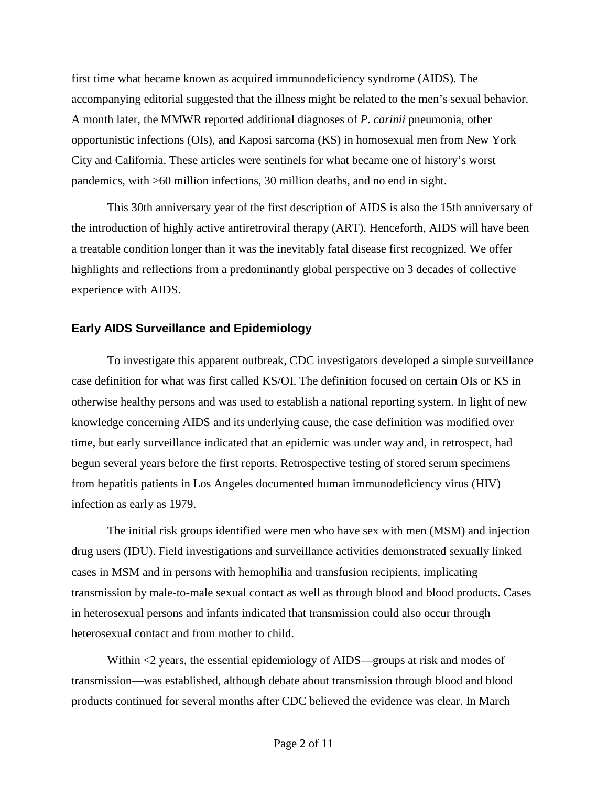first time what became known as acquired immunodeficiency syndrome (AIDS). The accompanying editorial suggested that the illness might be related to the men's sexual behavior. A month later, the MMWR reported additional diagnoses of *P. carinii* pneumonia, other opportunistic infections (OIs), and Kaposi sarcoma (KS) in homosexual men from New York City and California. These articles were sentinels for what became one of history's worst pandemics, with >60 million infections, 30 million deaths, and no end in sight.

This 30th anniversary year of the first description of AIDS is also the 15th anniversary of the introduction of highly active antiretroviral therapy (ART). Henceforth, AIDS will have been a treatable condition longer than it was the inevitably fatal disease first recognized. We offer highlights and reflections from a predominantly global perspective on 3 decades of collective experience with AIDS.

## **Early AIDS Surveillance and Epidemiology**

To investigate this apparent outbreak, CDC investigators developed a simple surveillance case definition for what was first called KS/OI. The definition focused on certain OIs or KS in otherwise healthy persons and was used to establish a national reporting system. In light of new knowledge concerning AIDS and its underlying cause, the case definition was modified over time, but early surveillance indicated that an epidemic was under way and, in retrospect, had begun several years before the first reports. Retrospective testing of stored serum specimens from hepatitis patients in Los Angeles documented human immunodeficiency virus (HIV) infection as early as 1979.

The initial risk groups identified were men who have sex with men (MSM) and injection drug users (IDU). Field investigations and surveillance activities demonstrated sexually linked cases in MSM and in persons with hemophilia and transfusion recipients, implicating transmission by male-to-male sexual contact as well as through blood and blood products. Cases in heterosexual persons and infants indicated that transmission could also occur through heterosexual contact and from mother to child.

Within <2 years, the essential epidemiology of AIDS—groups at risk and modes of transmission—was established, although debate about transmission through blood and blood products continued for several months after CDC believed the evidence was clear. In March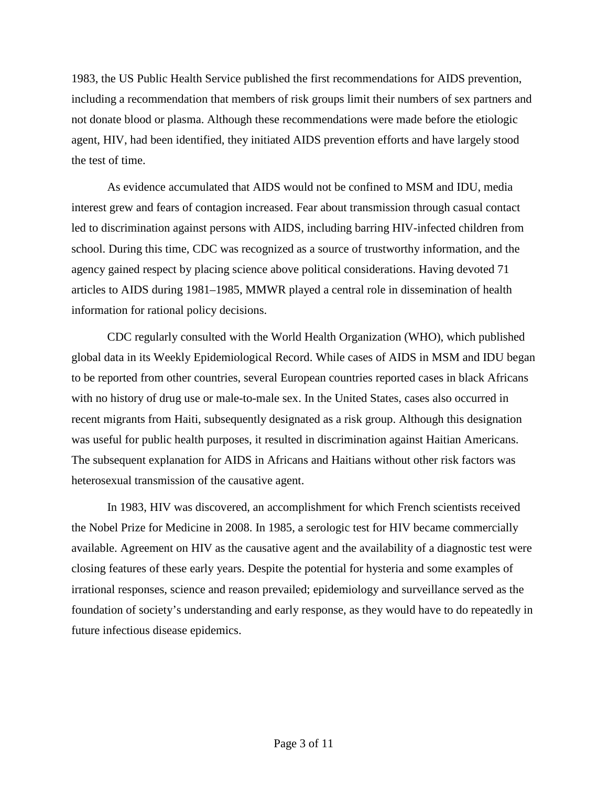1983, the US Public Health Service published the first recommendations for AIDS prevention, including a recommendation that members of risk groups limit their numbers of sex partners and not donate blood or plasma. Although these recommendations were made before the etiologic agent, HIV, had been identified, they initiated AIDS prevention efforts and have largely stood the test of time.

As evidence accumulated that AIDS would not be confined to MSM and IDU, media interest grew and fears of contagion increased. Fear about transmission through casual contact led to discrimination against persons with AIDS, including barring HIV-infected children from school. During this time, CDC was recognized as a source of trustworthy information, and the agency gained respect by placing science above political considerations. Having devoted 71 articles to AIDS during 1981–1985, MMWR played a central role in dissemination of health information for rational policy decisions.

CDC regularly consulted with the World Health Organization (WHO), which published global data in its Weekly Epidemiological Record. While cases of AIDS in MSM and IDU began to be reported from other countries, several European countries reported cases in black Africans with no history of drug use or male-to-male sex. In the United States, cases also occurred in recent migrants from Haiti, subsequently designated as a risk group. Although this designation was useful for public health purposes, it resulted in discrimination against Haitian Americans. The subsequent explanation for AIDS in Africans and Haitians without other risk factors was heterosexual transmission of the causative agent.

In 1983, HIV was discovered, an accomplishment for which French scientists received the Nobel Prize for Medicine in 2008. In 1985, a serologic test for HIV became commercially available. Agreement on HIV as the causative agent and the availability of a diagnostic test were closing features of these early years. Despite the potential for hysteria and some examples of irrational responses, science and reason prevailed; epidemiology and surveillance served as the foundation of society's understanding and early response, as they would have to do repeatedly in future infectious disease epidemics.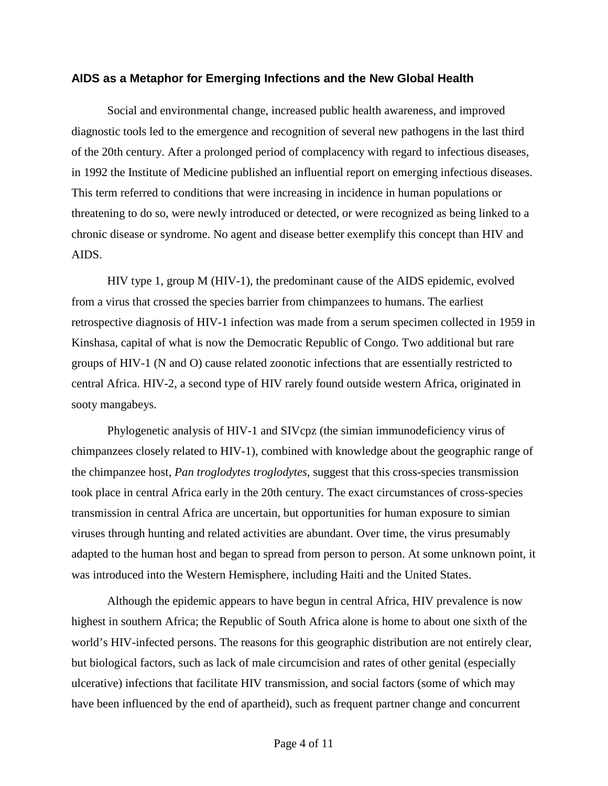### **AIDS as a Metaphor for Emerging Infections and the New Global Health**

Social and environmental change, increased public health awareness, and improved diagnostic tools led to the emergence and recognition of several new pathogens in the last third of the 20th century. After a prolonged period of complacency with regard to infectious diseases, in 1992 the Institute of Medicine published an influential report on emerging infectious diseases. This term referred to conditions that were increasing in incidence in human populations or threatening to do so, were newly introduced or detected, or were recognized as being linked to a chronic disease or syndrome. No agent and disease better exemplify this concept than HIV and AIDS.

HIV type 1, group M (HIV-1), the predominant cause of the AIDS epidemic, evolved from a virus that crossed the species barrier from chimpanzees to humans. The earliest retrospective diagnosis of HIV-1 infection was made from a serum specimen collected in 1959 in Kinshasa, capital of what is now the Democratic Republic of Congo. Two additional but rare groups of HIV-1 (N and O) cause related zoonotic infections that are essentially restricted to central Africa. HIV-2, a second type of HIV rarely found outside western Africa, originated in sooty mangabeys.

Phylogenetic analysis of HIV-1 and SIVcpz (the simian immunodeficiency virus of chimpanzees closely related to HIV-1), combined with knowledge about the geographic range of the chimpanzee host, *Pan troglodytes troglodytes*, suggest that this cross-species transmission took place in central Africa early in the 20th century. The exact circumstances of cross-species transmission in central Africa are uncertain, but opportunities for human exposure to simian viruses through hunting and related activities are abundant. Over time, the virus presumably adapted to the human host and began to spread from person to person. At some unknown point, it was introduced into the Western Hemisphere, including Haiti and the United States.

Although the epidemic appears to have begun in central Africa, HIV prevalence is now highest in southern Africa; the Republic of South Africa alone is home to about one sixth of the world's HIV-infected persons. The reasons for this geographic distribution are not entirely clear, but biological factors, such as lack of male circumcision and rates of other genital (especially ulcerative) infections that facilitate HIV transmission, and social factors (some of which may have been influenced by the end of apartheid), such as frequent partner change and concurrent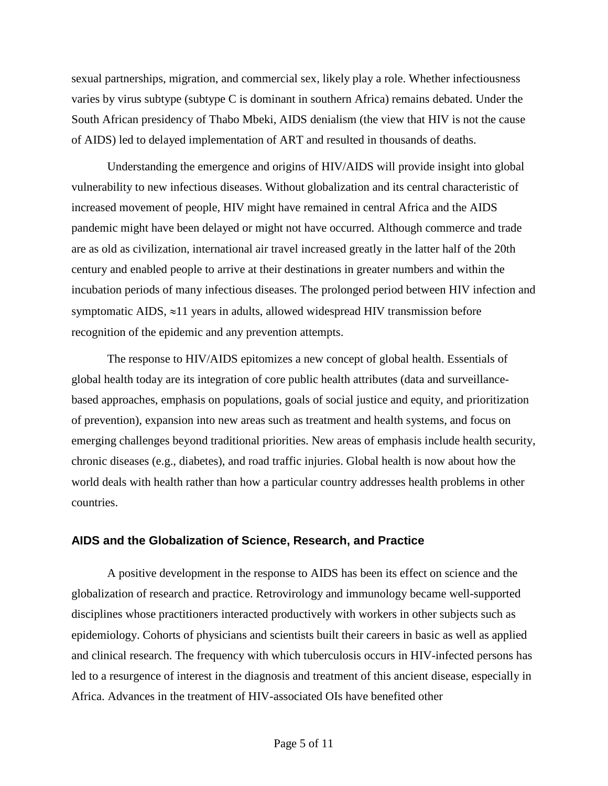sexual partnerships, migration, and commercial sex, likely play a role. Whether infectiousness varies by virus subtype (subtype C is dominant in southern Africa) remains debated. Under the South African presidency of Thabo Mbeki, AIDS denialism (the view that HIV is not the cause of AIDS) led to delayed implementation of ART and resulted in thousands of deaths.

Understanding the emergence and origins of HIV/AIDS will provide insight into global vulnerability to new infectious diseases. Without globalization and its central characteristic of increased movement of people, HIV might have remained in central Africa and the AIDS pandemic might have been delayed or might not have occurred. Although commerce and trade are as old as civilization, international air travel increased greatly in the latter half of the 20th century and enabled people to arrive at their destinations in greater numbers and within the incubation periods of many infectious diseases. The prolonged period between HIV infection and symptomatic AIDS,  $\approx$ 11 years in adults, allowed widespread HIV transmission before recognition of the epidemic and any prevention attempts.

The response to HIV/AIDS epitomizes a new concept of global health. Essentials of global health today are its integration of core public health attributes (data and surveillancebased approaches, emphasis on populations, goals of social justice and equity, and prioritization of prevention), expansion into new areas such as treatment and health systems, and focus on emerging challenges beyond traditional priorities. New areas of emphasis include health security, chronic diseases (e.g., diabetes), and road traffic injuries. Global health is now about how the world deals with health rather than how a particular country addresses health problems in other countries.

#### **AIDS and the Globalization of Science, Research, and Practice**

A positive development in the response to AIDS has been its effect on science and the globalization of research and practice. Retrovirology and immunology became well-supported disciplines whose practitioners interacted productively with workers in other subjects such as epidemiology. Cohorts of physicians and scientists built their careers in basic as well as applied and clinical research. The frequency with which tuberculosis occurs in HIV-infected persons has led to a resurgence of interest in the diagnosis and treatment of this ancient disease, especially in Africa. Advances in the treatment of HIV-associated OIs have benefited other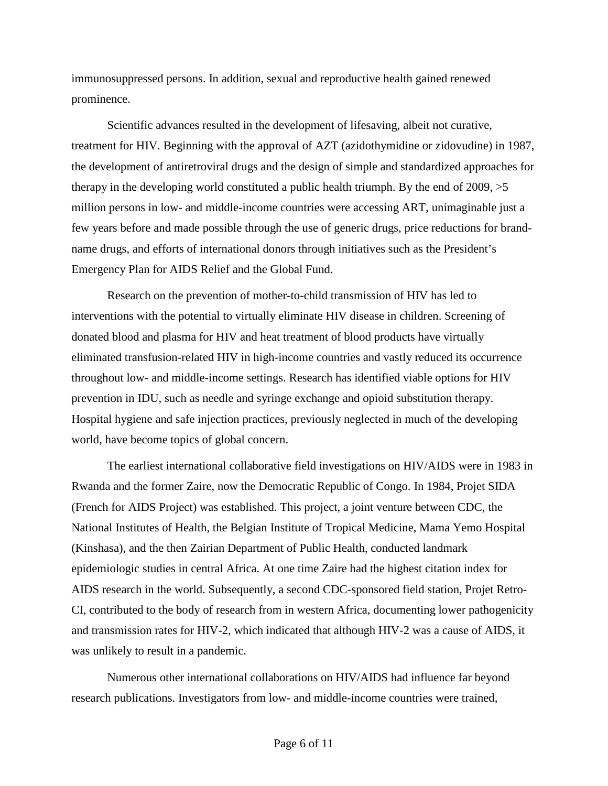immunosuppressed persons. In addition, sexual and reproductive health gained renewed prominence.

Scientific advances resulted in the development of lifesaving, albeit not curative, treatment for HIV. Beginning with the approval of AZT (azidothymidine or zidovudine) in 1987, the development of antiretroviral drugs and the design of simple and standardized approaches for therapy in the developing world constituted a public health triumph. By the end of  $2009$ ,  $>5$ million persons in low- and middle-income countries were accessing ART, unimaginable just a few years before and made possible through the use of generic drugs, price reductions for brandname drugs, and efforts of international donors through initiatives such as the President's Emergency Plan for AIDS Relief and the Global Fund.

Research on the prevention of mother-to-child transmission of HIV has led to interventions with the potential to virtually eliminate HIV disease in children. Screening of donated blood and plasma for HIV and heat treatment of blood products have virtually eliminated transfusion-related HIV in high-income countries and vastly reduced its occurrence throughout low- and middle-income settings. Research has identified viable options for HIV prevention in IDU, such as needle and syringe exchange and opioid substitution therapy. Hospital hygiene and safe injection practices, previously neglected in much of the developing world, have become topics of global concern.

The earliest international collaborative field investigations on HIV/AIDS were in 1983 in Rwanda and the former Zaire, now the Democratic Republic of Congo. In 1984, Projet SIDA (French for AIDS Project) was established. This project, a joint venture between CDC, the National Institutes of Health, the Belgian Institute of Tropical Medicine, Mama Yemo Hospital (Kinshasa), and the then Zairian Department of Public Health, conducted landmark epidemiologic studies in central Africa. At one time Zaire had the highest citation index for AIDS research in the world. Subsequently, a second CDC-sponsored field station, Projet Retro-CI, contributed to the body of research from in western Africa, documenting lower pathogenicity and transmission rates for HIV-2, which indicated that although HIV-2 was a cause of AIDS, it was unlikely to result in a pandemic.

Numerous other international collaborations on HIV/AIDS had influence far beyond research publications. Investigators from low- and middle-income countries were trained,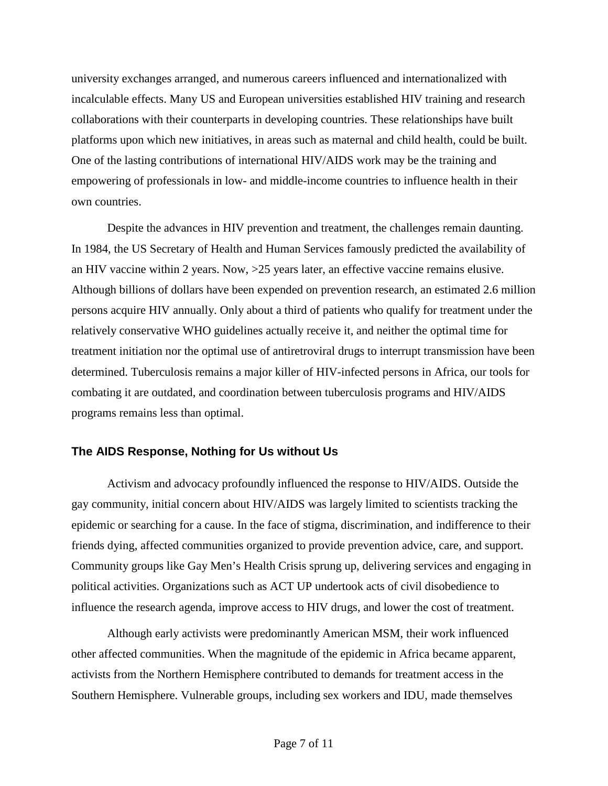university exchanges arranged, and numerous careers influenced and internationalized with incalculable effects. Many US and European universities established HIV training and research collaborations with their counterparts in developing countries. These relationships have built platforms upon which new initiatives, in areas such as maternal and child health, could be built. One of the lasting contributions of international HIV/AIDS work may be the training and empowering of professionals in low- and middle-income countries to influence health in their own countries.

Despite the advances in HIV prevention and treatment, the challenges remain daunting. In 1984, the US Secretary of Health and Human Services famously predicted the availability of an HIV vaccine within 2 years. Now, >25 years later, an effective vaccine remains elusive. Although billions of dollars have been expended on prevention research, an estimated 2.6 million persons acquire HIV annually. Only about a third of patients who qualify for treatment under the relatively conservative WHO guidelines actually receive it, and neither the optimal time for treatment initiation nor the optimal use of antiretroviral drugs to interrupt transmission have been determined. Tuberculosis remains a major killer of HIV-infected persons in Africa, our tools for combating it are outdated, and coordination between tuberculosis programs and HIV/AIDS programs remains less than optimal.

#### **The AIDS Response, Nothing for Us without Us**

Activism and advocacy profoundly influenced the response to HIV/AIDS. Outside the gay community, initial concern about HIV/AIDS was largely limited to scientists tracking the epidemic or searching for a cause. In the face of stigma, discrimination, and indifference to their friends dying, affected communities organized to provide prevention advice, care, and support. Community groups like Gay Men's Health Crisis sprung up, delivering services and engaging in political activities. Organizations such as ACT UP undertook acts of civil disobedience to influence the research agenda, improve access to HIV drugs, and lower the cost of treatment.

Although early activists were predominantly American MSM, their work influenced other affected communities. When the magnitude of the epidemic in Africa became apparent, activists from the Northern Hemisphere contributed to demands for treatment access in the Southern Hemisphere. Vulnerable groups, including sex workers and IDU, made themselves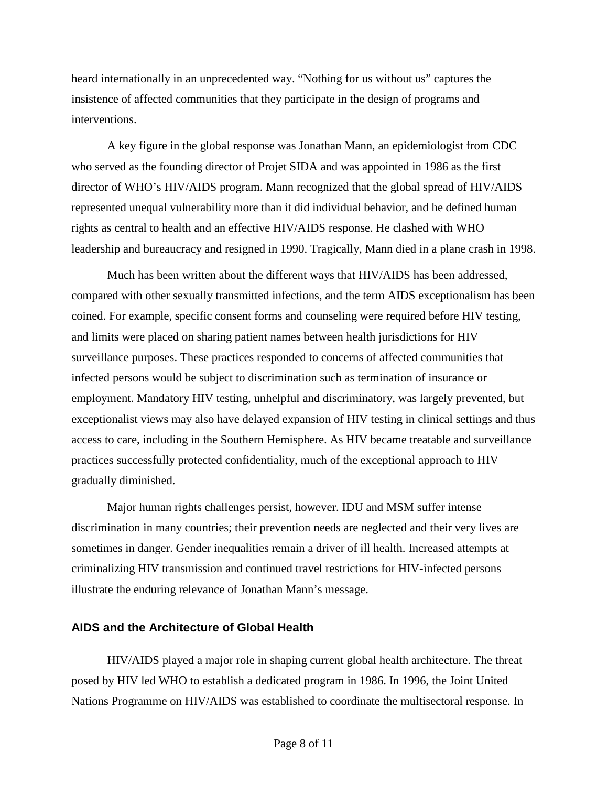heard internationally in an unprecedented way. "Nothing for us without us" captures the insistence of affected communities that they participate in the design of programs and interventions.

A key figure in the global response was Jonathan Mann, an epidemiologist from CDC who served as the founding director of Projet SIDA and was appointed in 1986 as the first director of WHO's HIV/AIDS program. Mann recognized that the global spread of HIV/AIDS represented unequal vulnerability more than it did individual behavior, and he defined human rights as central to health and an effective HIV/AIDS response. He clashed with WHO leadership and bureaucracy and resigned in 1990. Tragically, Mann died in a plane crash in 1998.

Much has been written about the different ways that HIV/AIDS has been addressed, compared with other sexually transmitted infections, and the term AIDS exceptionalism has been coined. For example, specific consent forms and counseling were required before HIV testing, and limits were placed on sharing patient names between health jurisdictions for HIV surveillance purposes. These practices responded to concerns of affected communities that infected persons would be subject to discrimination such as termination of insurance or employment. Mandatory HIV testing, unhelpful and discriminatory, was largely prevented, but exceptionalist views may also have delayed expansion of HIV testing in clinical settings and thus access to care, including in the Southern Hemisphere. As HIV became treatable and surveillance practices successfully protected confidentiality, much of the exceptional approach to HIV gradually diminished.

Major human rights challenges persist, however. IDU and MSM suffer intense discrimination in many countries; their prevention needs are neglected and their very lives are sometimes in danger. Gender inequalities remain a driver of ill health. Increased attempts at criminalizing HIV transmission and continued travel restrictions for HIV-infected persons illustrate the enduring relevance of Jonathan Mann's message.

#### **AIDS and the Architecture of Global Health**

HIV/AIDS played a major role in shaping current global health architecture. The threat posed by HIV led WHO to establish a dedicated program in 1986. In 1996, the Joint United Nations Programme on HIV/AIDS was established to coordinate the multisectoral response. In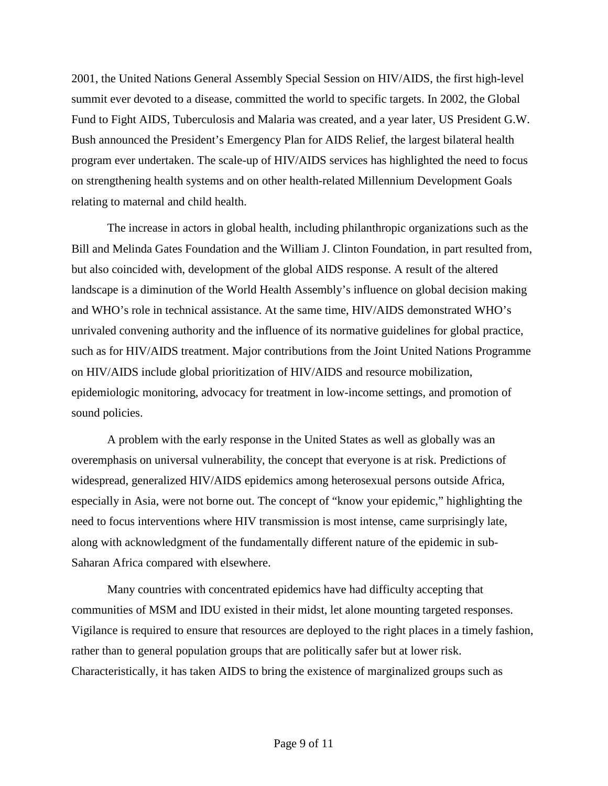2001, the United Nations General Assembly Special Session on HIV/AIDS, the first high-level summit ever devoted to a disease, committed the world to specific targets. In 2002, the Global Fund to Fight AIDS, Tuberculosis and Malaria was created, and a year later, US President G.W. Bush announced the President's Emergency Plan for AIDS Relief, the largest bilateral health program ever undertaken. The scale-up of HIV/AIDS services has highlighted the need to focus on strengthening health systems and on other health-related Millennium Development Goals relating to maternal and child health.

The increase in actors in global health, including philanthropic organizations such as the Bill and Melinda Gates Foundation and the William J. Clinton Foundation, in part resulted from, but also coincided with, development of the global AIDS response. A result of the altered landscape is a diminution of the World Health Assembly's influence on global decision making and WHO's role in technical assistance. At the same time, HIV/AIDS demonstrated WHO's unrivaled convening authority and the influence of its normative guidelines for global practice, such as for HIV/AIDS treatment. Major contributions from the Joint United Nations Programme on HIV/AIDS include global prioritization of HIV/AIDS and resource mobilization, epidemiologic monitoring, advocacy for treatment in low-income settings, and promotion of sound policies.

A problem with the early response in the United States as well as globally was an overemphasis on universal vulnerability, the concept that everyone is at risk. Predictions of widespread, generalized HIV/AIDS epidemics among heterosexual persons outside Africa, especially in Asia, were not borne out. The concept of "know your epidemic," highlighting the need to focus interventions where HIV transmission is most intense, came surprisingly late, along with acknowledgment of the fundamentally different nature of the epidemic in sub-Saharan Africa compared with elsewhere.

Many countries with concentrated epidemics have had difficulty accepting that communities of MSM and IDU existed in their midst, let alone mounting targeted responses. Vigilance is required to ensure that resources are deployed to the right places in a timely fashion, rather than to general population groups that are politically safer but at lower risk. Characteristically, it has taken AIDS to bring the existence of marginalized groups such as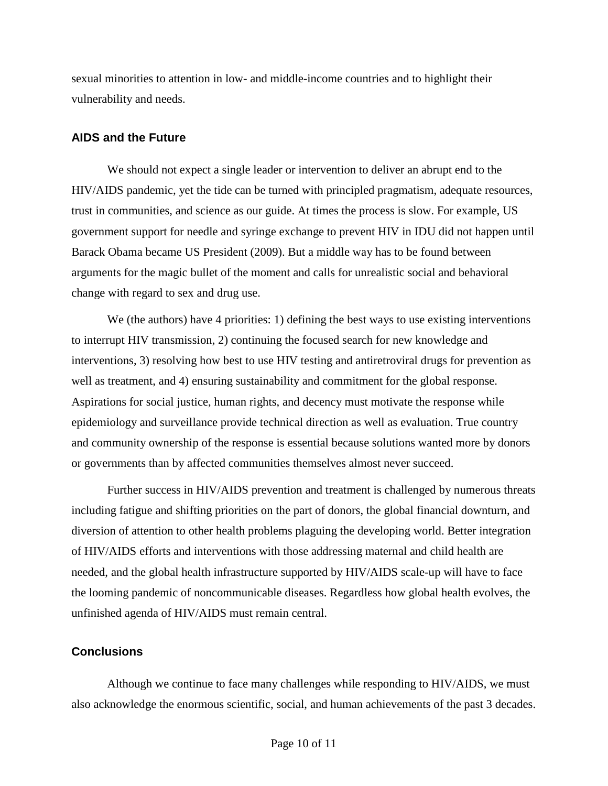sexual minorities to attention in low- and middle-income countries and to highlight their vulnerability and needs.

#### **AIDS and the Future**

We should not expect a single leader or intervention to deliver an abrupt end to the HIV/AIDS pandemic, yet the tide can be turned with principled pragmatism, adequate resources, trust in communities, and science as our guide. At times the process is slow. For example, US government support for needle and syringe exchange to prevent HIV in IDU did not happen until Barack Obama became US President (2009). But a middle way has to be found between arguments for the magic bullet of the moment and calls for unrealistic social and behavioral change with regard to sex and drug use.

We (the authors) have 4 priorities: 1) defining the best ways to use existing interventions to interrupt HIV transmission, 2) continuing the focused search for new knowledge and interventions, 3) resolving how best to use HIV testing and antiretroviral drugs for prevention as well as treatment, and 4) ensuring sustainability and commitment for the global response. Aspirations for social justice, human rights, and decency must motivate the response while epidemiology and surveillance provide technical direction as well as evaluation. True country and community ownership of the response is essential because solutions wanted more by donors or governments than by affected communities themselves almost never succeed.

Further success in HIV/AIDS prevention and treatment is challenged by numerous threats including fatigue and shifting priorities on the part of donors, the global financial downturn, and diversion of attention to other health problems plaguing the developing world. Better integration of HIV/AIDS efforts and interventions with those addressing maternal and child health are needed, and the global health infrastructure supported by HIV/AIDS scale-up will have to face the looming pandemic of noncommunicable diseases. Regardless how global health evolves, the unfinished agenda of HIV/AIDS must remain central.

### **Conclusions**

Although we continue to face many challenges while responding to HIV/AIDS, we must also acknowledge the enormous scientific, social, and human achievements of the past 3 decades.